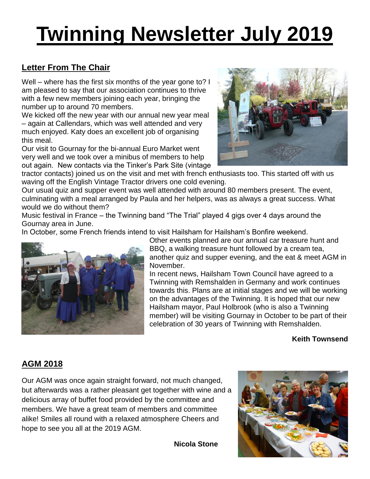# **Twinning Newsletter July 2019**

#### **Letter From The Chair**

Well – where has the first six months of the year gone to? I am pleased to say that our association continues to thrive with a few new members joining each year, bringing the number up to around 70 members.

We kicked off the new year with our annual new year meal – again at Callendars, which was well attended and very much enjoyed. Katy does an excellent job of organising this meal.

Our visit to Gournay for the bi-annual Euro Market went very well and we took over a minibus of members to help out again. New contacts via the Tinker's Park Site (vintage



tractor contacts) joined us on the visit and met with french enthusiasts too. This started off with us waving off the English Vintage Tractor drivers one cold evening.

Our usual quiz and supper event was well attended with around 80 members present. The event, culminating with a meal arranged by Paula and her helpers, was as always a great success. What would we do without them?

Music festival in France – the Twinning band "The Trial" played 4 gigs over 4 days around the Gournay area in June.

In October, some French friends intend to visit Hailsham for Hailsham's Bonfire weekend.



Other events planned are our annual car treasure hunt and BBQ, a walking treasure hunt followed by a cream tea, another quiz and supper evening, and the eat & meet AGM in November.

In recent news, Hailsham Town Council have agreed to a Twinning with Remshalden in Germany and work continues towards this. Plans are at initial stages and we will be working on the advantages of the Twinning. It is hoped that our new Hailsham mayor, Paul Holbrook (who is also a Twinning member) will be visiting Gournay in October to be part of their celebration of 30 years of Twinning with Remshalden.

#### **Keith Townsend**

#### **AGM 2018**

Our AGM was once again straight forward, not much changed, but afterwards was a rather pleasant get together with wine and a delicious array of buffet food provided by the committee and members. We have a great team of members and committee alike! Smiles all round with a relaxed atmosphere Cheers and hope to see you all at the 2019 AGM.

**Nicola Stone**

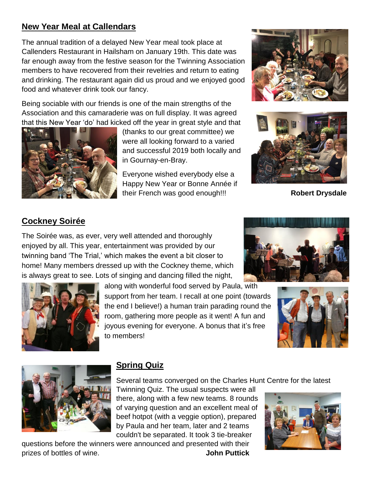#### **New Year Meal at Callendars**

The annual tradition of a delayed New Year meal took place at Callenders Restaurant in Hailsham on January 19th. This date was far enough away from the festive season for the Twinning Association members to have recovered from their revelries and return to eating and drinking. The restaurant again did us proud and we enjoyed good food and whatever drink took our fancy.

Being sociable with our friends is one of the main strengths of the Association and this camaraderie was on full display. It was agreed that this New Year 'do' had kicked off the year in great style and that



(thanks to our great committee) we were all looking forward to a varied and successful 2019 both locally and in Gournay-en-Bray.

Everyone wished everybody else a Happy New Year or Bonne Année if their French was good enough!!! **Robert Drysdale**





#### **Cockney Soirée**

The Soirée was, as ever, very well attended and thoroughly enjoyed by all. This year, entertainment was provided by our twinning band 'The Trial,' which makes the event a bit closer to home! Many members dressed up with the Cockney theme, which is always great to see. Lots of singing and dancing filled the night,



along with wonderful food served by Paula, with support from her team. I recall at one point (towards the end I believe!) a human train parading round the room, gathering more people as it went! A fun and joyous evening for everyone. A bonus that it's free to members!







#### **Spring Quiz**

Several teams converged on the Charles Hunt Centre for the latest

Twinning Quiz. The usual suspects were all there, along with a few new teams. 8 rounds of varying question and an excellent meal of beef hotpot (with a veggie option), prepared by Paula and her team, later and 2 teams couldn't be separated. It took 3 tie-breaker

questions before the winners were announced and presented with their prizes of bottles of wine. **John Puttick**

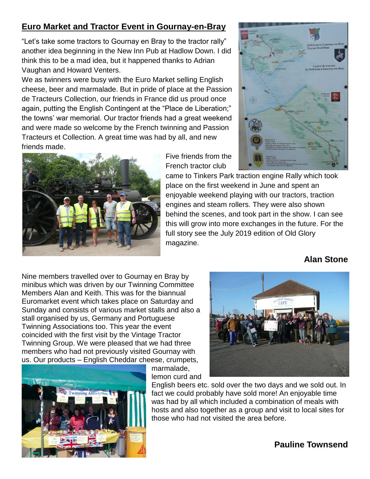#### **Euro Market and Tractor Event in Gournay-en-Bray**

"Let's take some tractors to Gournay en Bray to the tractor rally" another idea beginning in the New Inn Pub at Hadlow Down. I did think this to be a mad idea, but it happened thanks to Adrian Vaughan and Howard Venters.

We as twinners were busy with the Euro Market selling English cheese, beer and marmalade. But in pride of place at the Passion de Tracteurs Collection, our friends in France did us proud once again, putting the English Contingent at the "Place de Liberation;" the towns' war memorial. Our tractor friends had a great weekend and were made so welcome by the French twinning and Passion Tracteurs et Collection. A great time was had by all, and new friends made.



Five friends from the French tractor club



came to Tinkers Park traction engine Rally which took place on the first weekend in June and spent an enjoyable weekend playing with our tractors, traction engines and steam rollers. They were also shown behind the scenes, and took part in the show. I can see this will grow into more exchanges in the future. For the full story see the July 2019 edition of Old Glory magazine.

#### **Alan Stone**

Nine members travelled over to Gournay en Bray by minibus which was driven by our Twinning Committee Members Alan and Keith. This was for the biannual Euromarket event which takes place on Saturday and Sunday and consists of various market stalls and also a stall organised by us, Germany and Portuguese Twinning Associations too. This year the event coincided with the first visit by the Vintage Tractor Twinning Group. We were pleased that we had three members who had not previously visited Gournay with us. Our products – English Cheddar cheese, crumpets,





marmalade, lemon curd and

English beers etc. sold over the two days and we sold out. In fact we could probably have sold more! An enjoyable time was had by all which included a combination of meals with hosts and also together as a group and visit to local sites for those who had not visited the area before.

#### **Pauline Townsend**